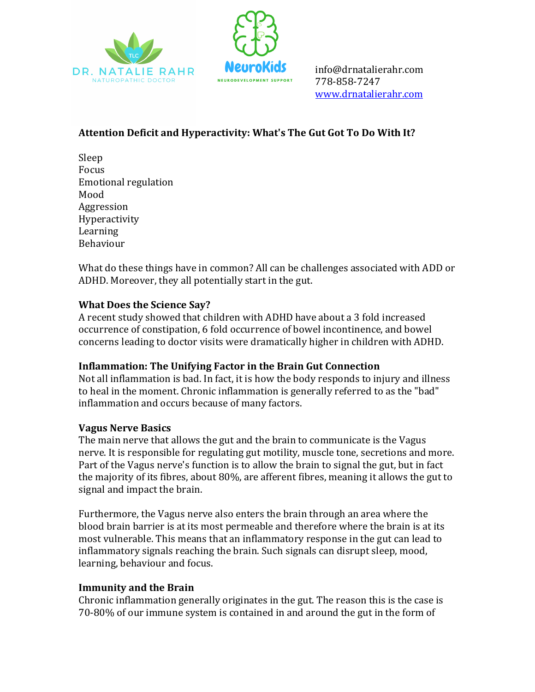



info@drnatalierahr.com 778-858-7247 www.drnatalierahr.com

# Attention Deficit and Hyperactivity: What's The Gut Got To Do With It?

Sleep Focus Emotional regulation Mood Aggression Hyperactivity Learning Behaviour

What do these things have in common? All can be challenges associated with ADD or ADHD. Moreover, they all potentially start in the gut.

## **What Does the Science Say?**

A recent study showed that children with ADHD have about a 3 fold increased occurrence of constipation, 6 fold occurrence of bowel incontinence, and bowel concerns leading to doctor visits were dramatically higher in children with ADHD.

#### **Inflammation: The Unifying Factor in the Brain Gut Connection**

Not all inflammation is bad. In fact, it is how the body responds to injury and illness to heal in the moment. Chronic inflammation is generally referred to as the "bad" inflammation and occurs because of many factors.

#### **Vagus Nerve Basics**

The main nerve that allows the gut and the brain to communicate is the Vagus nerve. It is responsible for regulating gut motility, muscle tone, secretions and more. Part of the Vagus nerve's function is to allow the brain to signal the gut, but in fact the majority of its fibres, about  $80\%$ , are afferent fibres, meaning it allows the gut to signal and impact the brain.

Furthermore, the Vagus nerve also enters the brain through an area where the blood brain barrier is at its most permeable and therefore where the brain is at its most vulnerable. This means that an inflammatory response in the gut can lead to inflammatory signals reaching the brain. Such signals can disrupt sleep, mood, learning, behaviour and focus.

#### **Immunity and the Brain**

Chronic inflammation generally originates in the gut. The reason this is the case is 70-80% of our immune system is contained in and around the gut in the form of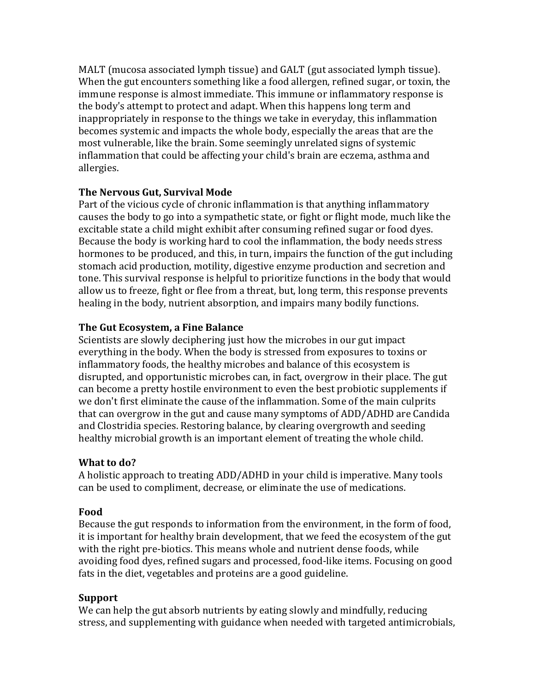MALT (mucosa associated lymph tissue) and GALT (gut associated lymph tissue). When the gut encounters something like a food allergen, refined sugar, or toxin, the immune response is almost immediate. This immune or inflammatory response is the body's attempt to protect and adapt. When this happens long term and inappropriately in response to the things we take in everyday, this inflammation becomes systemic and impacts the whole body, especially the areas that are the most vulnerable, like the brain. Some seemingly unrelated signs of systemic inflammation that could be affecting your child's brain are eczema, asthma and allergies.

#### **The Nervous Gut, Survival Mode**

Part of the vicious cycle of chronic inflammation is that anything inflammatory causes the body to go into a sympathetic state, or fight or flight mode, much like the excitable state a child might exhibit after consuming refined sugar or food dyes. Because the body is working hard to cool the inflammation, the body needs stress hormones to be produced, and this, in turn, impairs the function of the gut including stomach acid production, motility, digestive enzyme production and secretion and tone. This survival response is helpful to prioritize functions in the body that would allow us to freeze, fight or flee from a threat, but, long term, this response prevents healing in the body, nutrient absorption, and impairs many bodily functions.

## **The Gut Ecosystem, a Fine Balance**

Scientists are slowly deciphering just how the microbes in our gut impact everything in the body. When the body is stressed from exposures to toxins or inflammatory foods, the healthy microbes and balance of this ecosystem is disrupted, and opportunistic microbes can, in fact, overgrow in their place. The gut can become a pretty hostile environment to even the best probiotic supplements if we don't first eliminate the cause of the inflammation. Some of the main culprits that can overgrow in the gut and cause many symptoms of ADD/ADHD are Candida and Clostridia species. Restoring balance, by clearing overgrowth and seeding healthy microbial growth is an important element of treating the whole child.

## **What to do?**

A holistic approach to treating ADD/ADHD in your child is imperative. Many tools can be used to compliment, decrease, or eliminate the use of medications.

## **Food**

Because the gut responds to information from the environment, in the form of food, it is important for healthy brain development, that we feed the ecosystem of the gut with the right pre-biotics. This means whole and nutrient dense foods, while avoiding food dyes, refined sugars and processed, food-like items. Focusing on good fats in the diet, vegetables and proteins are a good guideline.

## **Support**

We can help the gut absorb nutrients by eating slowly and mindfully, reducing stress, and supplementing with guidance when needed with targeted antimicrobials,